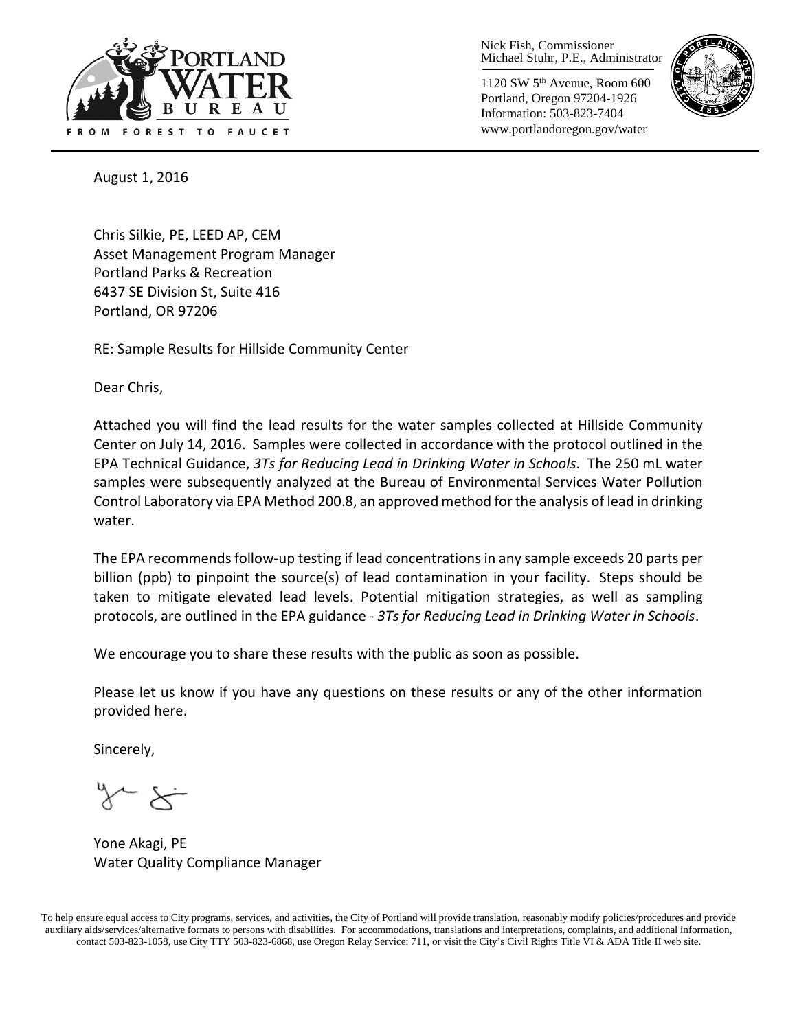

Nick Fish, Commissioner Michael Stuhr, P.E., Administrator

1120 SW 5th Avenue, Room 600 Portland, Oregon 97204-1926 Information: 503-823-7404 www.portlandoregon.gov/water



August 1, 2016

Chris Silkie, PE, LEED AP, CEM Asset Management Program Manager Portland Parks & Recreation 6437 SE Division St, Suite 416 Portland, OR 97206

RE: Sample Results for Hillside Community Center

Dear Chris,

Attached you will find the lead results for the water samples collected at Hillside Community Center on July 14, 2016. Samples were collected in accordance with the protocol outlined in the EPA Technical Guidance, *3Ts for Reducing Lead in Drinking Water in Schools*. The 250 mL water samples were subsequently analyzed at the Bureau of Environmental Services Water Pollution Control Laboratory via EPA Method 200.8, an approved method for the analysis of lead in drinking water.

The EPA recommends follow-up testing if lead concentrations in any sample exceeds 20 parts per billion (ppb) to pinpoint the source(s) of lead contamination in your facility. Steps should be taken to mitigate elevated lead levels. Potential mitigation strategies, as well as sampling protocols, are outlined in the EPA guidance - *3Ts for Reducing Lead in Drinking Water in Schools*.

We encourage you to share these results with the public as soon as possible.

Please let us know if you have any questions on these results or any of the other information provided here.

Sincerely,

Yone Akagi, PE Water Quality Compliance Manager

To help ensure equal access to City programs, services, and activities, the City of Portland will provide translation, reasonably modify policies/procedures and provide auxiliary aids/services/alternative formats to persons with disabilities. For accommodations, translations and interpretations, complaints, and additional information, contact 503-823-1058, use City TTY 503-823-6868, use Oregon Relay Service: 711, or visi[t the City's Civil Rights Title VI & ADA Title II web site.](http://www.portlandoregon.gov/oehr/66458)